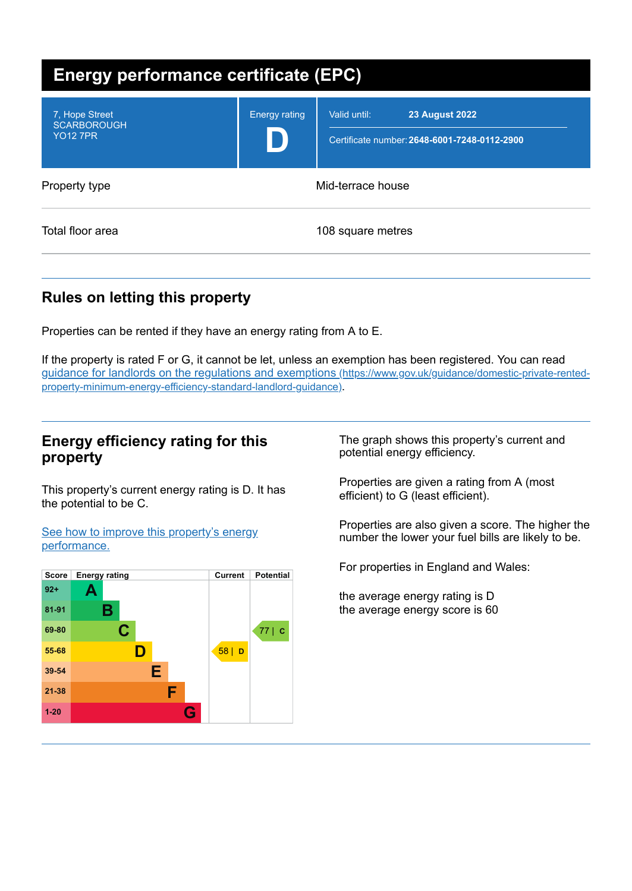| <b>Energy performance certificate (EPC)</b>             |                      |                                                                                       |  |
|---------------------------------------------------------|----------------------|---------------------------------------------------------------------------------------|--|
| 7, Hope Street<br><b>SCARBOROUGH</b><br><b>YO12 7PR</b> | <b>Energy rating</b> | Valid until:<br><b>23 August 2022</b><br>Certificate number: 2648-6001-7248-0112-2900 |  |
| Property type                                           | Mid-terrace house    |                                                                                       |  |
| Total floor area                                        |                      | 108 square metres                                                                     |  |

## **Rules on letting this property**

Properties can be rented if they have an energy rating from A to E.

If the property is rated F or G, it cannot be let, unless an exemption has been registered. You can read guidance for landlords on the regulations and exemptions (https://www.gov.uk/guidance/domestic-private-rented[property-minimum-energy-efficiency-standard-landlord-guidance\)](https://www.gov.uk/guidance/domestic-private-rented-property-minimum-energy-efficiency-standard-landlord-guidance).

#### **Energy efficiency rating for this property**

This property's current energy rating is D. It has the potential to be C.

See how to improve this property's energy [performance.](#page-2-0)



The graph shows this property's current and potential energy efficiency.

Properties are given a rating from A (most efficient) to G (least efficient).

Properties are also given a score. The higher the number the lower your fuel bills are likely to be.

For properties in England and Wales:

the average energy rating is D the average energy score is 60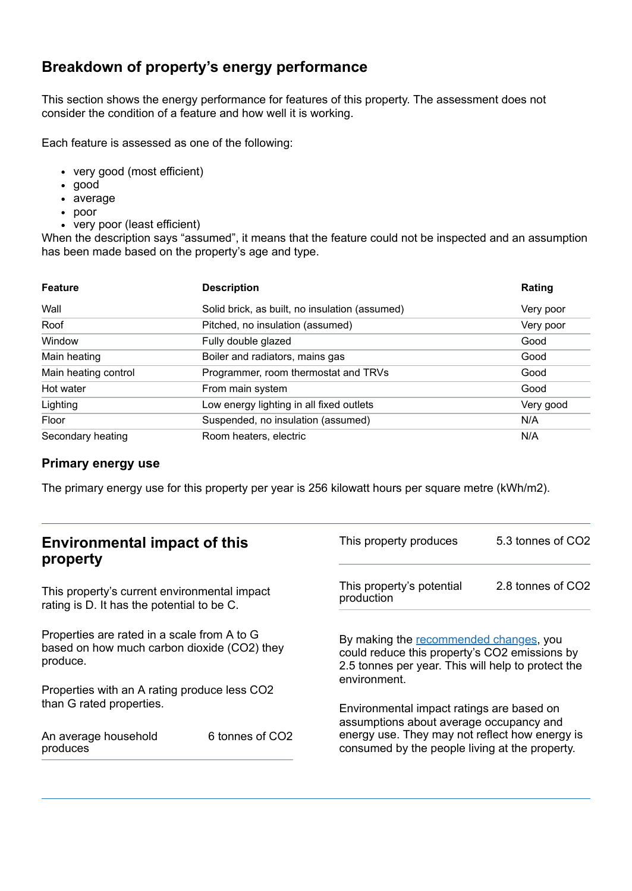## **Breakdown of property's energy performance**

This section shows the energy performance for features of this property. The assessment does not consider the condition of a feature and how well it is working.

Each feature is assessed as one of the following:

- very good (most efficient)
- good
- average
- poor
- very poor (least efficient)

When the description says "assumed", it means that the feature could not be inspected and an assumption has been made based on the property's age and type.

| <b>Feature</b>       | <b>Description</b>                             | Rating    |
|----------------------|------------------------------------------------|-----------|
| Wall                 | Solid brick, as built, no insulation (assumed) | Very poor |
| Roof                 | Pitched, no insulation (assumed)               | Very poor |
| Window               | Fully double glazed                            | Good      |
| Main heating         | Boiler and radiators, mains gas                | Good      |
| Main heating control | Programmer, room thermostat and TRVs           | Good      |
| Hot water            | From main system                               | Good      |
| Lighting             | Low energy lighting in all fixed outlets       | Very good |
| Floor                | Suspended, no insulation (assumed)             | N/A       |
| Secondary heating    | Room heaters, electric                         | N/A       |

#### **Primary energy use**

The primary energy use for this property per year is 256 kilowatt hours per square metre (kWh/m2).

| <b>Environmental impact of this</b><br>property                                                        |                             | This property produces                                                                                                                                                                   | 5.3 tonnes of CO2 |
|--------------------------------------------------------------------------------------------------------|-----------------------------|------------------------------------------------------------------------------------------------------------------------------------------------------------------------------------------|-------------------|
| This property's current environmental impact<br>rating is D. It has the potential to be C.             |                             | This property's potential<br>production                                                                                                                                                  | 2.8 tonnes of CO2 |
| Properties are rated in a scale from A to G<br>based on how much carbon dioxide (CO2) they<br>produce. |                             | By making the recommended changes, you<br>could reduce this property's CO2 emissions by<br>2.5 tonnes per year. This will help to protect the<br>environment.                            |                   |
| Properties with an A rating produce less CO2                                                           |                             |                                                                                                                                                                                          |                   |
| than G rated properties.<br>An average household                                                       | 6 tonnes of CO <sub>2</sub> | Environmental impact ratings are based on<br>assumptions about average occupancy and<br>energy use. They may not reflect how energy is<br>consumed by the people living at the property. |                   |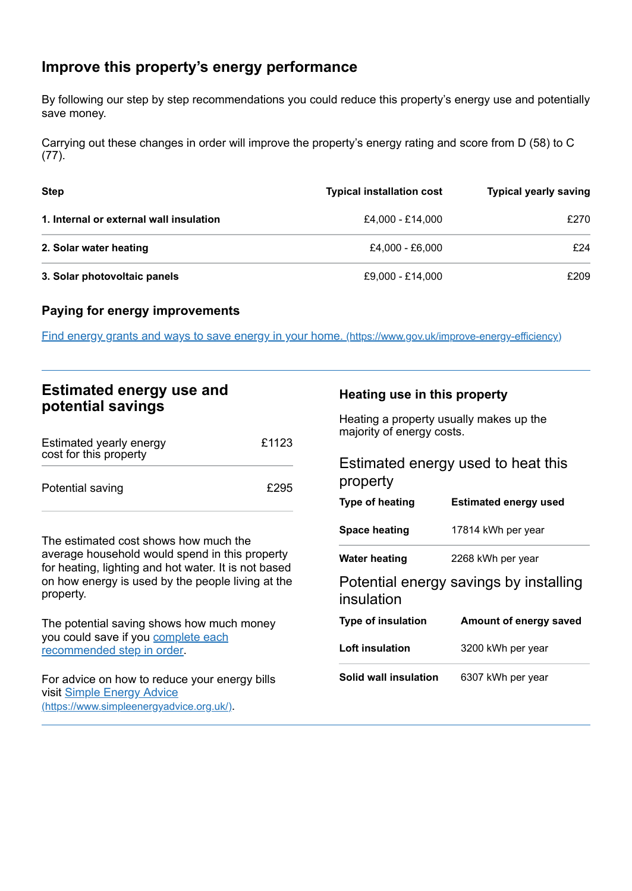## <span id="page-2-0"></span>**Improve this property's energy performance**

By following our step by step recommendations you could reduce this property's energy use and potentially save money.

Carrying out these changes in order will improve the property's energy rating and score from D (58) to C (77).

| <b>Step</b>                             | <b>Typical installation cost</b> | <b>Typical yearly saving</b> |
|-----------------------------------------|----------------------------------|------------------------------|
| 1. Internal or external wall insulation | £4.000 - £14.000                 | £270                         |
| 2. Solar water heating                  | £4.000 - £6.000                  | £24                          |
| 3. Solar photovoltaic panels            | £9,000 - £14,000                 | £209                         |

#### **Paying for energy improvements**

Find energy grants and ways to save energy in your home. [\(https://www.gov.uk/improve-energy-efficiency\)](https://www.gov.uk/improve-energy-efficiency)

### **Estimated energy use and potential savings**

| Estimated yearly energy<br>cost for this property | £1123 |
|---------------------------------------------------|-------|
| Potential saving                                  | £295  |

The estimated cost shows how much the average household would spend in this property for heating, lighting and hot water. It is not based on how energy is used by the people living at the property.

The potential saving shows how much money you could save if you complete each [recommended](#page-2-0) step in order.

For advice on how to reduce your energy bills visit Simple Energy Advice [\(https://www.simpleenergyadvice.org.uk/\)](https://www.simpleenergyadvice.org.uk/).

#### **Heating use in this property**

Heating a property usually makes up the majority of energy costs.

| Estimated energy used to heat this<br>property |                                        |  |
|------------------------------------------------|----------------------------------------|--|
| Type of heating                                | <b>Estimated energy used</b>           |  |
| <b>Space heating</b>                           | 17814 kWh per year                     |  |
| Water heating                                  | 2268 kWh per year                      |  |
| insulation                                     | Potential energy savings by installing |  |
| <b>Type of insulation</b>                      | Amount of energy saved                 |  |
| Loft insulation                                | 3200 kWh per year                      |  |
| Solid wall insulation                          | 6307 kWh per year                      |  |